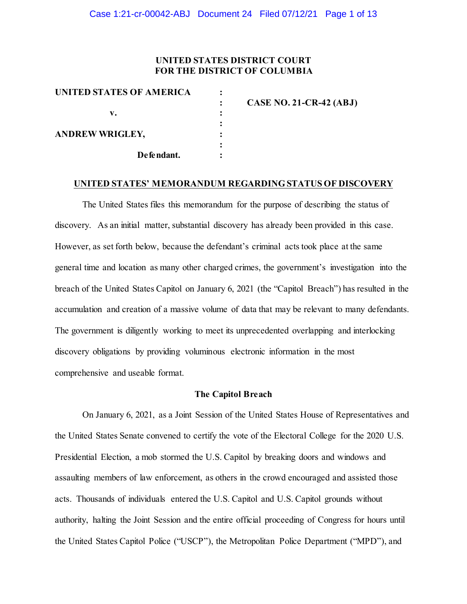## **UNITED STATES DISTRICT COURT FOR THE DISTRICT OF COLUMBIA**

| UNITED STATES OF AMERICA | CASE NO. 21-CR-42 (ABJ) |
|--------------------------|-------------------------|
| v.                       |                         |
| <b>ANDREW WRIGLEY,</b>   |                         |
| Defendant.               |                         |

#### **UNITED STATES' MEMORANDUM REGARDING STATUS OF DISCOVERY**

The United States files this memorandum for the purpose of describing the status of discovery. As an initial matter, substantial discovery has already been provided in this case. However, as set forth below, because the defendant's criminal acts took place at the same general time and location as many other charged crimes, the government's investigation into the breach of the United States Capitol on January 6, 2021 (the "Capitol Breach") has resulted in the accumulation and creation of a massive volume of data that may be relevant to many defendants. The government is diligently working to meet its unprecedented overlapping and interlocking discovery obligations by providing voluminous electronic information in the most comprehensive and useable format.

### **The Capitol Breach**

On January 6, 2021, as a Joint Session of the United States House of Representatives and the United States Senate convened to certify the vote of the Electoral College for the 2020 U.S. Presidential Election, a mob stormed the U.S. Capitol by breaking doors and windows and assaulting members of law enforcement, as others in the crowd encouraged and assisted those acts. Thousands of individuals entered the U.S. Capitol and U.S. Capitol grounds without authority, halting the Joint Session and the entire official proceeding of Congress for hours until the United States Capitol Police ("USCP"), the Metropolitan Police Department ("MPD"), and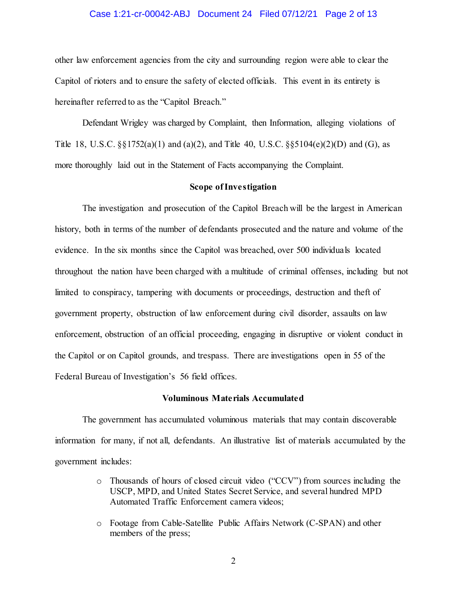### Case 1:21-cr-00042-ABJ Document 24 Filed 07/12/21 Page 2 of 13

other law enforcement agencies from the city and surrounding region were able to clear the Capitol of rioters and to ensure the safety of elected officials. This event in its entirety is hereinafter referred to as the "Capitol Breach."

Defendant Wrigley was charged by Complaint, then Information, alleging violations of Title 18, U.S.C.  $\S$ [3] 1752(a)(1) and (a)(2), and Title 40, U.S.C.  $\S$ [5104(e)(2)(D) and (G), as more thoroughly laid out in the Statement of Facts accompanying the Complaint.

### **Scope of Investigation**

The investigation and prosecution of the Capitol Breach will be the largest in American history, both in terms of the number of defendants prosecuted and the nature and volume of the evidence. In the six months since the Capitol was breached, over 500 individuals located throughout the nation have been charged with a multitude of criminal offenses, including but not limited to conspiracy, tampering with documents or proceedings, destruction and theft of government property, obstruction of law enforcement during civil disorder, assaults on law enforcement, obstruction of an official proceeding, engaging in disruptive or violent conduct in the Capitol or on Capitol grounds, and trespass. There are investigations open in 55 of the Federal Bureau of Investigation's 56 field offices.

### **Voluminous Materials Accumulated**

The government has accumulated voluminous materials that may contain discoverable information for many, if not all, defendants. An illustrative list of materials accumulated by the government includes:

- o Thousands of hours of closed circuit video ("CCV") from sources including the USCP, MPD, and United States Secret Service, and several hundred MPD Automated Traffic Enforcement camera videos;
- o Footage from Cable-Satellite Public Affairs Network (C-SPAN) and other members of the press;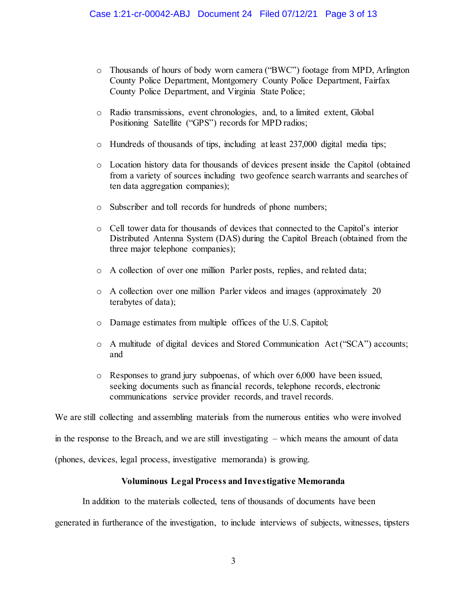- o Thousands of hours of body worn camera ("BWC") footage from MPD, Arlington County Police Department, Montgomery County Police Department, Fairfax County Police Department, and Virginia State Police;
- o Radio transmissions, event chronologies, and, to a limited extent, Global Positioning Satellite ("GPS") records for MPD radios;
- o Hundreds of thousands of tips, including at least 237,000 digital media tips;
- o Location history data for thousands of devices present inside the Capitol (obtained from a variety of sources including two geofence search warrants and searches of ten data aggregation companies);
- o Subscriber and toll records for hundreds of phone numbers;
- o Cell tower data for thousands of devices that connected to the Capitol's interior Distributed Antenna System (DAS) during the Capitol Breach (obtained from the three major telephone companies);
- o A collection of over one million Parler posts, replies, and related data;
- o A collection over one million Parler videos and images (approximately 20 terabytes of data);
- o Damage estimates from multiple offices of the U.S. Capitol;
- o A multitude of digital devices and Stored Communication Act ("SCA") accounts; and
- o Responses to grand jury subpoenas, of which over 6,000 have been issued, seeking documents such as financial records, telephone records, electronic communications service provider records, and travel records.

We are still collecting and assembling materials from the numerous entities who were involved

in the response to the Breach, and we are still investigating – which means the amount of data

(phones, devices, legal process, investigative memoranda) is growing.

## **Voluminous Legal Process and Investigative Memoranda**

In addition to the materials collected, tens of thousands of documents have been

generated in furtherance of the investigation, to include interviews of subjects, witnesses, tipsters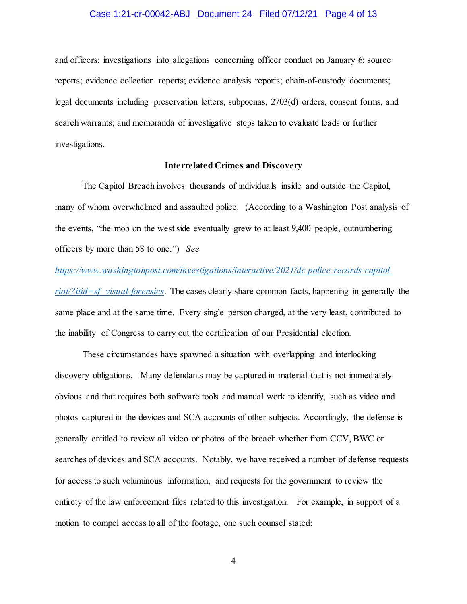### Case 1:21-cr-00042-ABJ Document 24 Filed 07/12/21 Page 4 of 13

and officers; investigations into allegations concerning officer conduct on January 6; source reports; evidence collection reports; evidence analysis reports; chain-of-custody documents; legal documents including preservation letters, subpoenas, 2703(d) orders, consent forms, and search warrants; and memoranda of investigative steps taken to evaluate leads or further investigations.

### **Interrelated Crimes and Discovery**

The Capitol Breach involves thousands of individuals inside and outside the Capitol, many of whom overwhelmed and assaulted police. (According to a Washington Post analysis of the events, "the mob on the west side eventually grew to at least 9,400 people, outnumbering officers by more than 58 to one.") *See* 

### *https://www.washingtonpost.com/investigations/interactive/2021/dc-police-records-capitol-*

*riot/?itid=sf\_visual-forensics*. The cases clearly share common facts, happening in generally the same place and at the same time. Every single person charged, at the very least, contributed to the inability of Congress to carry out the certification of our Presidential election.

These circumstances have spawned a situation with overlapping and interlocking discovery obligations. Many defendants may be captured in material that is not immediately obvious and that requires both software tools and manual work to identify, such as video and photos captured in the devices and SCA accounts of other subjects. Accordingly, the defense is generally entitled to review all video or photos of the breach whether from CCV, BWC or searches of devices and SCA accounts. Notably, we have received a number of defense requests for access to such voluminous information, and requests for the government to review the entirety of the law enforcement files related to this investigation. For example, in support of a motion to compel access to all of the footage, one such counsel stated:

4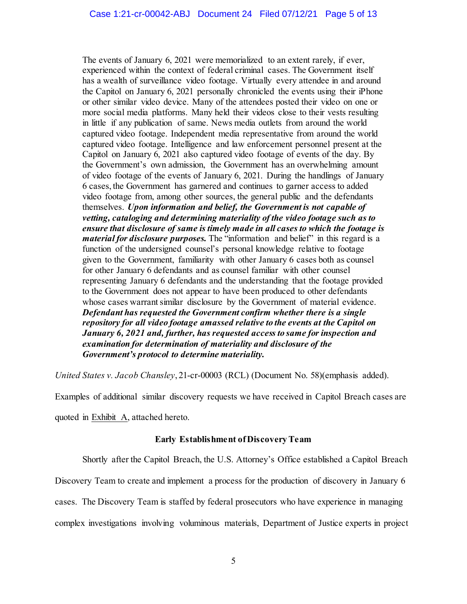The events of January 6, 2021 were memorialized to an extent rarely, if ever, experienced within the context of federal criminal cases. The Government itself has a wealth of surveillance video footage. Virtually every attendee in and around the Capitol on January 6, 2021 personally chronicled the events using their iPhone or other similar video device. Many of the attendees posted their video on one or more social media platforms. Many held their videos close to their vests resulting in little if any publication of same. News media outlets from around the world captured video footage. Independent media representative from around the world captured video footage. Intelligence and law enforcement personnel present at the Capitol on January 6, 2021 also captured video footage of events of the day. By the Government's own admission, the Government has an overwhelming amount of video footage of the events of January 6, 2021. During the handlings of January 6 cases, the Government has garnered and continues to garner access to added video footage from, among other sources, the general public and the defendants themselves. *Upon information and belief, the Government is not capable of vetting, cataloging and determining materiality of the video footage such as to ensure that disclosure of same is timely made in all cases to which the footage is material for disclosure purposes.* The "information and belief" in this regard is a function of the undersigned counsel's personal knowledge relative to footage given to the Government, familiarity with other January 6 cases both as counsel for other January 6 defendants and as counsel familiar with other counsel representing January 6 defendants and the understanding that the footage provided to the Government does not appear to have been produced to other defendants whose cases warrant similar disclosure by the Government of material evidence. *Defendant has requested the Government confirm whether there is a single repository for all video footage amassed relative to the events at the Capitol on January 6, 2021 and, further, has requested access to same for inspection and examination for determination of materiality and disclosure of the Government's protocol to determine materiality.*

*United States v. Jacob Chansley*, 21-cr-00003 (RCL) (Document No. 58)(emphasis added).

Examples of additional similar discovery requests we have received in Capitol Breach cases are

quoted in Exhibit A, attached hereto.

### **Early Establishment of Discovery Team**

Shortly after the Capitol Breach, the U.S. Attorney's Office established a Capitol Breach

Discovery Team to create and implement a process for the production of discovery in January 6

cases. The Discovery Team is staffed by federal prosecutors who have experience in managing

complex investigations involving voluminous materials, Department of Justice experts in project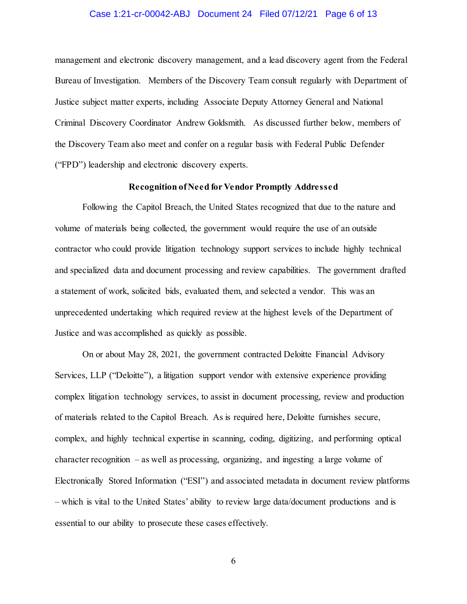### Case 1:21-cr-00042-ABJ Document 24 Filed 07/12/21 Page 6 of 13

management and electronic discovery management, and a lead discovery agent from the Federal Bureau of Investigation. Members of the Discovery Team consult regularly with Department of Justice subject matter experts, including Associate Deputy Attorney General and National Criminal Discovery Coordinator Andrew Goldsmith. As discussed further below, members of the Discovery Team also meet and confer on a regular basis with Federal Public Defender ("FPD") leadership and electronic discovery experts.

### **Recognition of Need for Vendor Promptly Addressed**

Following the Capitol Breach, the United States recognized that due to the nature and volume of materials being collected, the government would require the use of an outside contractor who could provide litigation technology support services to include highly technical and specialized data and document processing and review capabilities. The government drafted a statement of work, solicited bids, evaluated them, and selected a vendor. This was an unprecedented undertaking which required review at the highest levels of the Department of Justice and was accomplished as quickly as possible.

On or about May 28, 2021, the government contracted Deloitte Financial Advisory Services, LLP ("Deloitte"), a litigation support vendor with extensive experience providing complex litigation technology services, to assist in document processing, review and production of materials related to the Capitol Breach. As is required here, Deloitte furnishes secure, complex, and highly technical expertise in scanning, coding, digitizing, and performing optical character recognition – as well as processing, organizing, and ingesting a large volume of Electronically Stored Information ("ESI") and associated metadata in document review platforms – which is vital to the United States' ability to review large data/document productions and is essential to our ability to prosecute these cases effectively.

6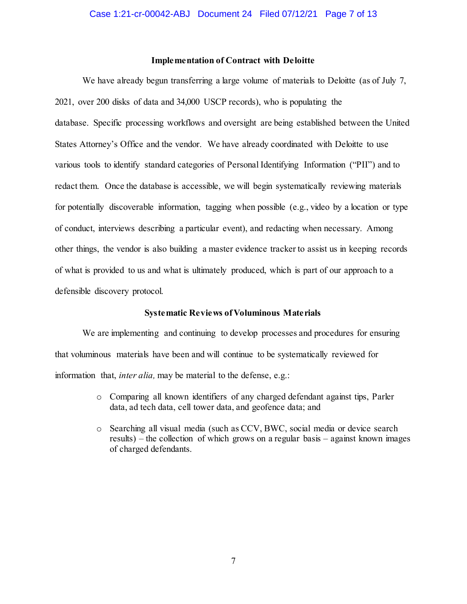### **Implementation of Contract with Deloitte**

We have already begun transferring a large volume of materials to Deloitte (as of July 7, 2021, over 200 disks of data and 34,000 USCP records), who is populating the database. Specific processing workflows and oversight are being established between the United States Attorney's Office and the vendor. We have already coordinated with Deloitte to use various tools to identify standard categories of Personal Identifying Information ("PII") and to redact them. Once the database is accessible, we will begin systematically reviewing materials for potentially discoverable information, tagging when possible (e.g., video by a location or type of conduct, interviews describing a particular event), and redacting when necessary. Among other things, the vendor is also building a master evidence tracker to assist us in keeping records of what is provided to us and what is ultimately produced, which is part of our approach to a defensible discovery protocol.

### **Systematic Reviews of Voluminous Materials**

We are implementing and continuing to develop processes and procedures for ensuring that voluminous materials have been and will continue to be systematically reviewed for information that, *inter alia,* may be material to the defense, e.g.:

- o Comparing all known identifiers of any charged defendant against tips, Parler data, ad tech data, cell tower data, and geofence data; and
- o Searching all visual media (such as CCV, BWC, social media or device search results) – the collection of which grows on a regular basis – against known images of charged defendants.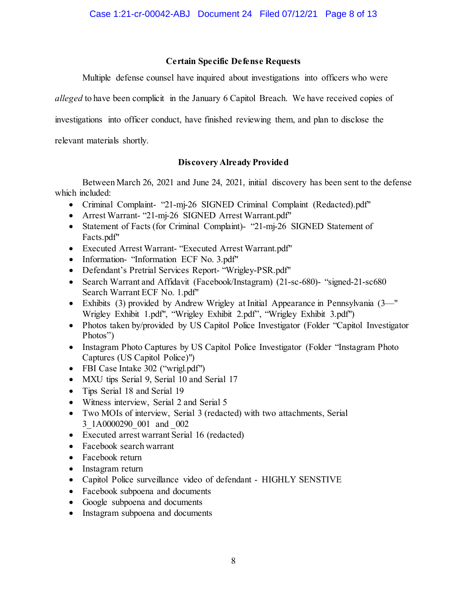## **Certain Specific Defense Requests**

Multiple defense counsel have inquired about investigations into officers who were

*alleged* to have been complicit in the January 6 Capitol Breach. We have received copies of

investigations into officer conduct, have finished reviewing them, and plan to disclose the

relevant materials shortly.

## **Discovery Already Provided**

Between March 26, 2021 and June 24, 2021, initial discovery has been sent to the defense which included:

- Criminal Complaint- "21-mj-26 SIGNED Criminal Complaint (Redacted).pdf"
- Arrest Warrant- "21-mj-26 SIGNED Arrest Warrant.pdf"
- Statement of Facts (for Criminal Complaint)- "21-mj-26 SIGNED Statement of Facts.pdf"
- Executed Arrest Warrant- "Executed Arrest Warrant.pdf"
- Information- "Information ECF No. 3.pdf"
- Defendant's Pretrial Services Report- "Wrigley-PSR.pdf"
- Search Warrant and Affidavit (Facebook/Instagram) (21-sc-680)- "signed-21-sc680 Search Warrant ECF No. 1.pdf"
- Exhibits (3) provided by Andrew Wrigley at Initial Appearance in Pennsylvania (3—" Wrigley Exhibit 1.pdf", "Wrigley Exhibit 2.pdf", "Wrigley Exhibit 3.pdf")
- Photos taken by/provided by US Capitol Police Investigator (Folder "Capitol Investigator Photos")
- Instagram Photo Captures by US Capitol Police Investigator (Folder "Instagram Photo Captures (US Capitol Police)")
- FBI Case Intake 302 ("wrigl.pdf")
- MXU tips Serial 9, Serial 10 and Serial 17
- Tips Serial 18 and Serial 19
- Witness interview, Serial 2 and Serial 5
- Two MOIs of interview, Serial 3 (redacted) with two attachments, Serial 3\_1A0000290\_001 and \_002
- Executed arrest warrant Serial 16 (redacted)
- Facebook search warrant
- Facebook return
- Instagram return
- Capitol Police surveillance video of defendant HIGHLY SENSTIVE
- Facebook subpoena and documents
- Google subpoena and documents
- Instagram subpoena and documents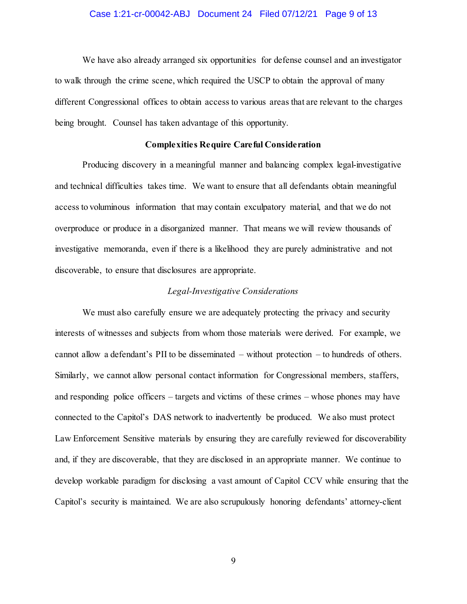### Case 1:21-cr-00042-ABJ Document 24 Filed 07/12/21 Page 9 of 13

We have also already arranged six opportunities for defense counsel and an investigator to walk through the crime scene, which required the USCP to obtain the approval of many different Congressional offices to obtain access to various areas that are relevant to the charges being brought. Counsel has taken advantage of this opportunity.

### **Complexities Require Careful Consideration**

Producing discovery in a meaningful manner and balancing complex legal-investigative and technical difficulties takes time. We want to ensure that all defendants obtain meaningful access to voluminous information that may contain exculpatory material, and that we do not overproduce or produce in a disorganized manner. That means we will review thousands of investigative memoranda, even if there is a likelihood they are purely administrative and not discoverable, to ensure that disclosures are appropriate.

### *Legal-Investigative Considerations*

We must also carefully ensure we are adequately protecting the privacy and security interests of witnesses and subjects from whom those materials were derived. For example, we cannot allow a defendant's PII to be disseminated – without protection – to hundreds of others. Similarly, we cannot allow personal contact information for Congressional members, staffers, and responding police officers – targets and victims of these crimes – whose phones may have connected to the Capitol's DAS network to inadvertently be produced. We also must protect Law Enforcement Sensitive materials by ensuring they are carefully reviewed for discoverability and, if they are discoverable, that they are disclosed in an appropriate manner. We continue to develop workable paradigm for disclosing a vast amount of Capitol CCV while ensuring that the Capitol's security is maintained. We are also scrupulously honoring defendants' attorney-client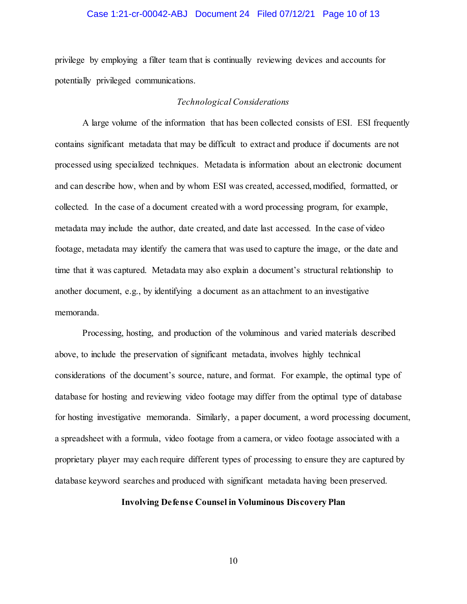### Case 1:21-cr-00042-ABJ Document 24 Filed 07/12/21 Page 10 of 13

privilege by employing a filter team that is continually reviewing devices and accounts for potentially privileged communications.

### *Technological Considerations*

A large volume of the information that has been collected consists of ESI. ESI frequently contains significant metadata that may be difficult to extract and produce if documents are not processed using specialized techniques. Metadata is information about an electronic document and can describe how, when and by whom ESI was created, accessed, modified, formatted, or collected. In the case of a document created with a word processing program, for example, metadata may include the author, date created, and date last accessed. In the case of video footage, metadata may identify the camera that was used to capture the image, or the date and time that it was captured. Metadata may also explain a document's structural relationship to another document, e.g., by identifying a document as an attachment to an investigative memoranda.

Processing, hosting, and production of the voluminous and varied materials described above, to include the preservation of significant metadata, involves highly technical considerations of the document's source, nature, and format. For example, the optimal type of database for hosting and reviewing video footage may differ from the optimal type of database for hosting investigative memoranda. Similarly, a paper document, a word processing document, a spreadsheet with a formula, video footage from a camera, or video footage associated with a proprietary player may each require different types of processing to ensure they are captured by database keyword searches and produced with significant metadata having been preserved.

### **Involving Defense Counsel in Voluminous Discovery Plan**

10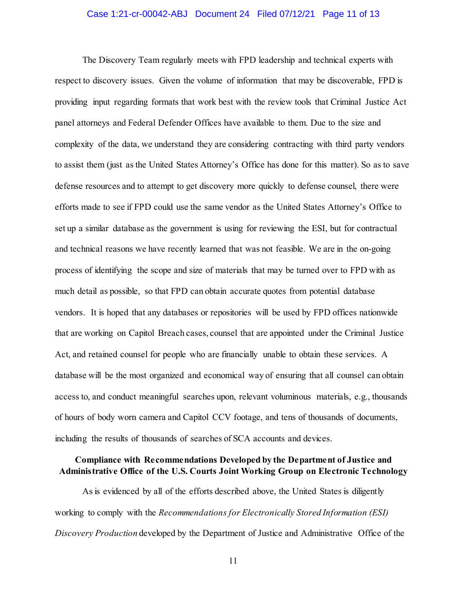### Case 1:21-cr-00042-ABJ Document 24 Filed 07/12/21 Page 11 of 13

The Discovery Team regularly meets with FPD leadership and technical experts with respect to discovery issues. Given the volume of information that may be discoverable, FPD is providing input regarding formats that work best with the review tools that Criminal Justice Act panel attorneys and Federal Defender Offices have available to them. Due to the size and complexity of the data, we understand they are considering contracting with third party vendors to assist them (just as the United States Attorney's Office has done for this matter). So as to save defense resources and to attempt to get discovery more quickly to defense counsel, there were efforts made to see if FPD could use the same vendor as the United States Attorney's Office to set up a similar database as the government is using for reviewing the ESI, but for contractual and technical reasons we have recently learned that was not feasible. We are in the on-going process of identifying the scope and size of materials that may be turned over to FPD with as much detail as possible, so that FPD can obtain accurate quotes from potential database vendors. It is hoped that any databases or repositories will be used by FPD offices nationwide that are working on Capitol Breach cases, counsel that are appointed under the Criminal Justice Act, and retained counsel for people who are financially unable to obtain these services. A database will be the most organized and economical way of ensuring that all counsel can obtain access to, and conduct meaningful searches upon, relevant voluminous materials, e.g., thousands of hours of body worn camera and Capitol CCV footage, and tens of thousands of documents, including the results of thousands of searches of SCA accounts and devices.

## **Compliance with Recommendations Developed by the Department of Justice and Administrative Office of the U.S. Courts Joint Working Group on Electronic Technology**

As is evidenced by all of the efforts described above, the United States is diligently working to comply with the *Recommendations for Electronically Stored Information (ESI) Discovery Production* developed by the Department of Justice and Administrative Office of the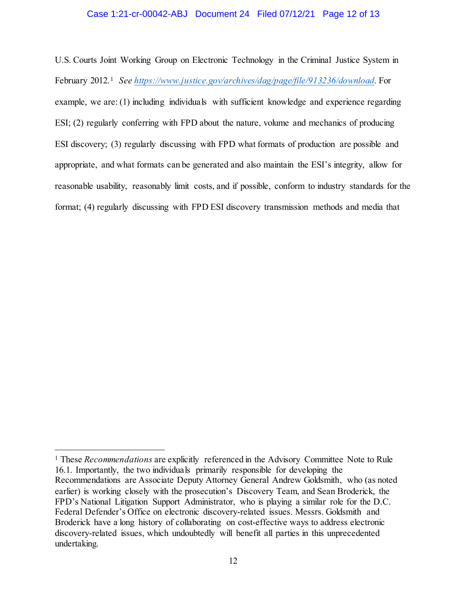### Case 1:21-cr-00042-ABJ Document 24 Filed 07/12/21 Page 12 of 13

U.S. Courts Joint Working Group on Electronic Technology in the Criminal Justice System in February 2012.1 *See https://www.justice.gov/archives/dag/page/file/913236/download.* For example, we are: (1) including individuals with sufficient knowledge and experience regarding ESI; (2) regularly conferring with FPD about the nature, volume and mechanics of producing ESI discovery; (3) regularly discussing with FPD what formats of production are possible and appropriate, and what formats can be generated and also maintain the ESI's integrity, allow for reasonable usability, reasonably limit costs, and if possible, conform to industry standards for the format; (4) regularly discussing with FPD ESI discovery transmission methods and media that

l

<sup>1</sup> These *Recommendations* are explicitly referenced in the Advisory Committee Note to Rule 16.1. Importantly, the two individuals primarily responsible for developing the Recommendations are Associate Deputy Attorney General Andrew Goldsmith, who (as noted earlier) is working closely with the prosecution's Discovery Team, and Sean Broderick, the FPD's National Litigation Support Administrator, who is playing a similar role for the D.C. Federal Defender's Office on electronic discovery-related issues. Messrs. Goldsmith and Broderick have a long history of collaborating on cost-effective ways to address electronic discovery-related issues, which undoubtedly will benefit all parties in this unprecedented undertaking.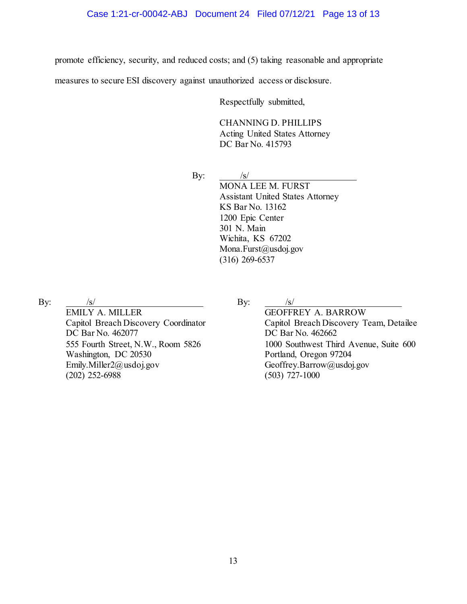promote efficiency, security, and reduced costs; and (5) taking reasonable and appropriate

measures to secure ESI discovery against unauthorized access or disclosure.

Respectfully submitted,

CHANNING D. PHILLIPS

Acting United States Attorney DC Bar No. 415793

By:  $\frac{1}{s}$  /s/ MONA LEE M. FURST Assistant United States Attorney KS Bar No. 13162 1200 Epic Center 301 N. Main Wichita, KS 67202 Mona.Furst@usdoj.gov (316) 269-6537

By:  $/s/$ 

EMILY A. MILLER Capitol Breach Discovery Coordinator DC Bar No. 462077 555 Fourth Street, N.W., Room 5826 Washington, DC 20530 Emily.Miller2@usdoj.gov  $(202)$  252-6988

By:  $/s/$ 

GEOFFREY A. BARROW Capitol Breach Discovery Team, Detailee DC Bar No. 462662 1000 Southwest Third Avenue, Suite 600 Portland, Oregon 97204 Geoffrey.Barrow@usdoj.gov (503) 727-1000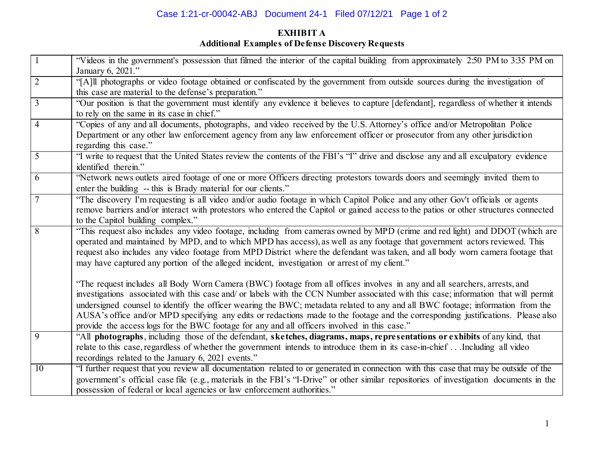# Case 1:21-cr-00042-ABJ Document 24-1 Filed 07/12/21 Page 1 of 2

# **EXHIBIT A Additional Examples of Defense Discovery Requests**

| $\boxed{1}$    | "Videos in the government's possession that filmed the interior of the capital building from approximately 2:50 PM to 3:35 PM on<br>January 6, 2021."                                                                                                                                                                                                                                                                                                                                                                                                                                                                                   |
|----------------|-----------------------------------------------------------------------------------------------------------------------------------------------------------------------------------------------------------------------------------------------------------------------------------------------------------------------------------------------------------------------------------------------------------------------------------------------------------------------------------------------------------------------------------------------------------------------------------------------------------------------------------------|
| $\overline{2}$ | "[A]ll photographs or video footage obtained or confiscated by the government from outside sources during the investigation of<br>this case are material to the defense's preparation."                                                                                                                                                                                                                                                                                                                                                                                                                                                 |
| $\overline{3}$ | "Our position is that the government must identify any evidence it believes to capture [defendant], regardless of whether it intends<br>to rely on the same in its case in chief."                                                                                                                                                                                                                                                                                                                                                                                                                                                      |
| $\overline{4}$ | "Copies of any and all documents, photographs, and video received by the U.S. Attorney's office and/or Metropolitan Police<br>Department or any other law enforcement agency from any law enforcement officer or prosecutor from any other jurisdiction<br>regarding this case."                                                                                                                                                                                                                                                                                                                                                        |
| $\overline{5}$ | "I write to request that the United States review the contents of the FBI's "I" drive and disclose any and all exculpatory evidence<br>identified therein."                                                                                                                                                                                                                                                                                                                                                                                                                                                                             |
| $\overline{6}$ | "Network news outlets aired footage of one or more Officers directing protestors towards doors and seemingly invited them to<br>enter the building -- this is Brady material for our clients."                                                                                                                                                                                                                                                                                                                                                                                                                                          |
| 7              | "The discovery I'm requesting is all video and/or audio footage in which Capitol Police and any other Gov't officials or agents<br>remove barriers and/or interact with protestors who entered the Capitol or gained access to the patios or other structures connected<br>to the Capitol building complex."                                                                                                                                                                                                                                                                                                                            |
| 8              | "This request also includes any video footage, including from cameras owned by MPD (crime and red light) and DDOT (which are<br>operated and maintained by MPD, and to which MPD has access), as well as any footage that government actors reviewed. This<br>request also includes any video footage from MPD District where the defendant was taken, and all body worn camera footage that<br>may have captured any portion of the alleged incident, investigation or arrest of my client."                                                                                                                                           |
|                | "The request includes all Body Worn Camera (BWC) footage from all offices involves in any and all searchers, arrests, and<br>investigations associated with this case and/ or labels with the CCN Number associated with this case; information that will permit<br>undersigned counsel to identify the officer wearing the BWC; metadata related to any and all BWC footage; information from the<br>AUSA's office and/or MPD specifying any edits or redactions made to the footage and the corresponding justifications. Please also<br>provide the access logs for the BWC footage for any and all officers involved in this case." |
| 9              | "All photographs, including those of the defendant, sketches, diagrams, maps, representations or exhibits of any kind, that<br>relate to this case, regardless of whether the government intends to introduce them in its case-in-chief  Including all video<br>recordings related to the January 6, 2021 events."                                                                                                                                                                                                                                                                                                                      |
| 10             | "I further request that you review all documentation related to or generated in connection with this case that may be outside of the<br>government's official case file (e.g., materials in the FBI's "I-Drive" or other similar repositories of investigation documents in the<br>possession of federal or local agencies or law enforcement authorities."                                                                                                                                                                                                                                                                             |